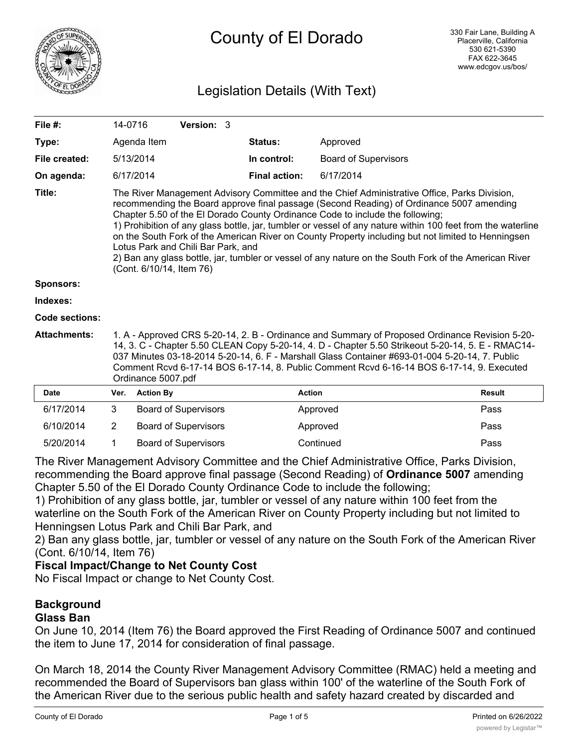

## Legislation Details (With Text)

| File $#$ :          |                                                                                                                                                                                                                                                                                                                                                                                                                                                                                                                                                                                                                                                                           | 14-0716          | Version: 3                  |  |                      |                             |               |
|---------------------|---------------------------------------------------------------------------------------------------------------------------------------------------------------------------------------------------------------------------------------------------------------------------------------------------------------------------------------------------------------------------------------------------------------------------------------------------------------------------------------------------------------------------------------------------------------------------------------------------------------------------------------------------------------------------|------------------|-----------------------------|--|----------------------|-----------------------------|---------------|
| Type:               |                                                                                                                                                                                                                                                                                                                                                                                                                                                                                                                                                                                                                                                                           | Agenda Item      |                             |  | <b>Status:</b>       | Approved                    |               |
| File created:       |                                                                                                                                                                                                                                                                                                                                                                                                                                                                                                                                                                                                                                                                           | 5/13/2014        |                             |  | In control:          | <b>Board of Supervisors</b> |               |
| On agenda:          |                                                                                                                                                                                                                                                                                                                                                                                                                                                                                                                                                                                                                                                                           | 6/17/2014        |                             |  | <b>Final action:</b> | 6/17/2014                   |               |
| Title:              | The River Management Advisory Committee and the Chief Administrative Office, Parks Division,<br>recommending the Board approve final passage (Second Reading) of Ordinance 5007 amending<br>Chapter 5.50 of the El Dorado County Ordinance Code to include the following;<br>1) Prohibition of any glass bottle, jar, tumbler or vessel of any nature within 100 feet from the waterline<br>on the South Fork of the American River on County Property including but not limited to Henningsen<br>Lotus Park and Chili Bar Park, and<br>2) Ban any glass bottle, jar, tumbler or vessel of any nature on the South Fork of the American River<br>(Cont. 6/10/14, Item 76) |                  |                             |  |                      |                             |               |
| <b>Sponsors:</b>    |                                                                                                                                                                                                                                                                                                                                                                                                                                                                                                                                                                                                                                                                           |                  |                             |  |                      |                             |               |
| Indexes:            |                                                                                                                                                                                                                                                                                                                                                                                                                                                                                                                                                                                                                                                                           |                  |                             |  |                      |                             |               |
| Code sections:      |                                                                                                                                                                                                                                                                                                                                                                                                                                                                                                                                                                                                                                                                           |                  |                             |  |                      |                             |               |
| <b>Attachments:</b> | 1. A - Approved CRS 5-20-14, 2. B - Ordinance and Summary of Proposed Ordinance Revision 5-20-<br>14, 3. C - Chapter 5.50 CLEAN Copy 5-20-14, 4. D - Chapter 5.50 Strikeout 5-20-14, 5. E - RMAC14-<br>037 Minutes 03-18-2014 5-20-14, 6. F - Marshall Glass Container #693-01-004 5-20-14, 7. Public<br>Comment Rcvd 6-17-14 BOS 6-17-14, 8. Public Comment Rcvd 6-16-14 BOS 6-17-14, 9. Executed<br>Ordinance 5007.pdf                                                                                                                                                                                                                                                  |                  |                             |  |                      |                             |               |
| <b>Date</b>         | Ver.                                                                                                                                                                                                                                                                                                                                                                                                                                                                                                                                                                                                                                                                      | <b>Action By</b> |                             |  | <b>Action</b>        |                             | <b>Result</b> |
| 6/17/2014           | 3                                                                                                                                                                                                                                                                                                                                                                                                                                                                                                                                                                                                                                                                         |                  | <b>Board of Supervisors</b> |  |                      | Approved                    | Pass          |
| 6/10/2014           | 2                                                                                                                                                                                                                                                                                                                                                                                                                                                                                                                                                                                                                                                                         |                  | <b>Board of Supervisors</b> |  |                      | Approved                    | Pass          |

5/20/2014 1 Board of Supervisors Continued Pass The River Management Advisory Committee and the Chief Administrative Office, Parks Division, recommending the Board approve final passage (Second Reading) of **Ordinance 5007** amending

Chapter 5.50 of the El Dorado County Ordinance Code to include the following;

1) Prohibition of any glass bottle, jar, tumbler or vessel of any nature within 100 feet from the waterline on the South Fork of the American River on County Property including but not limited to Henningsen Lotus Park and Chili Bar Park, and

2) Ban any glass bottle, jar, tumbler or vessel of any nature on the South Fork of the American River (Cont. 6/10/14, Item 76)

## **Fiscal Impact/Change to Net County Cost**

No Fiscal Impact or change to Net County Cost.

# **Background**

## **Glass Ban**

On June 10, 2014 (Item 76) the Board approved the First Reading of Ordinance 5007 and continued the item to June 17, 2014 for consideration of final passage.

On March 18, 2014 the County River Management Advisory Committee (RMAC) held a meeting and recommended the Board of Supervisors ban glass within 100' of the waterline of the South Fork of the American River due to the serious public health and safety hazard created by discarded and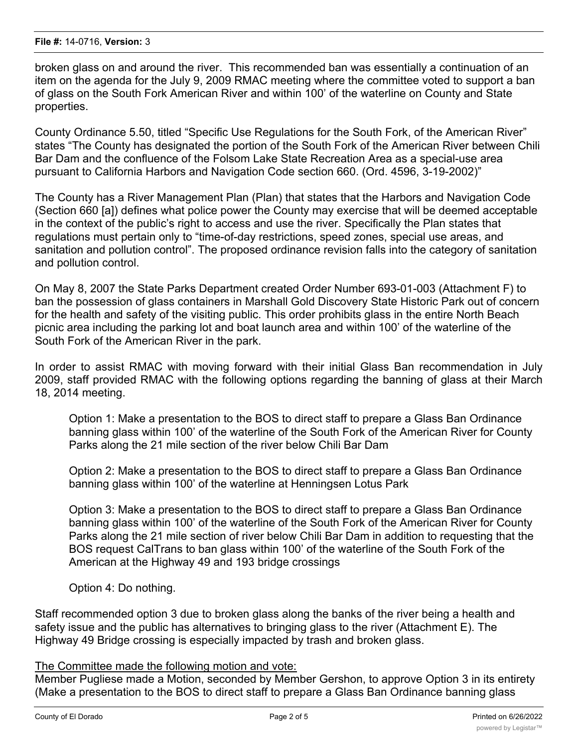broken glass on and around the river. This recommended ban was essentially a continuation of an item on the agenda for the July 9, 2009 RMAC meeting where the committee voted to support a ban of glass on the South Fork American River and within 100' of the waterline on County and State properties.

County Ordinance 5.50, titled "Specific Use Regulations for the South Fork, of the American River" states "The County has designated the portion of the South Fork of the American River between Chili Bar Dam and the confluence of the Folsom Lake State Recreation Area as a special-use area pursuant to California Harbors and Navigation Code section 660. (Ord. 4596, 3-19-2002)"

The County has a River Management Plan (Plan) that states that the Harbors and Navigation Code (Section 660 [a]) defines what police power the County may exercise that will be deemed acceptable in the context of the public's right to access and use the river. Specifically the Plan states that regulations must pertain only to "time-of-day restrictions, speed zones, special use areas, and sanitation and pollution control". The proposed ordinance revision falls into the category of sanitation and pollution control.

On May 8, 2007 the State Parks Department created Order Number 693-01-003 (Attachment F) to ban the possession of glass containers in Marshall Gold Discovery State Historic Park out of concern for the health and safety of the visiting public. This order prohibits glass in the entire North Beach picnic area including the parking lot and boat launch area and within 100' of the waterline of the South Fork of the American River in the park.

In order to assist RMAC with moving forward with their initial Glass Ban recommendation in July 2009, staff provided RMAC with the following options regarding the banning of glass at their March 18, 2014 meeting.

Option 1: Make a presentation to the BOS to direct staff to prepare a Glass Ban Ordinance banning glass within 100' of the waterline of the South Fork of the American River for County Parks along the 21 mile section of the river below Chili Bar Dam

Option 2: Make a presentation to the BOS to direct staff to prepare a Glass Ban Ordinance banning glass within 100' of the waterline at Henningsen Lotus Park

Option 3: Make a presentation to the BOS to direct staff to prepare a Glass Ban Ordinance banning glass within 100' of the waterline of the South Fork of the American River for County Parks along the 21 mile section of river below Chili Bar Dam in addition to requesting that the BOS request CalTrans to ban glass within 100' of the waterline of the South Fork of the American at the Highway 49 and 193 bridge crossings

Option 4: Do nothing.

Staff recommended option 3 due to broken glass along the banks of the river being a health and safety issue and the public has alternatives to bringing glass to the river (Attachment E). The Highway 49 Bridge crossing is especially impacted by trash and broken glass.

#### The Committee made the following motion and vote:

Member Pugliese made a Motion, seconded by Member Gershon, to approve Option 3 in its entirety (Make a presentation to the BOS to direct staff to prepare a Glass Ban Ordinance banning glass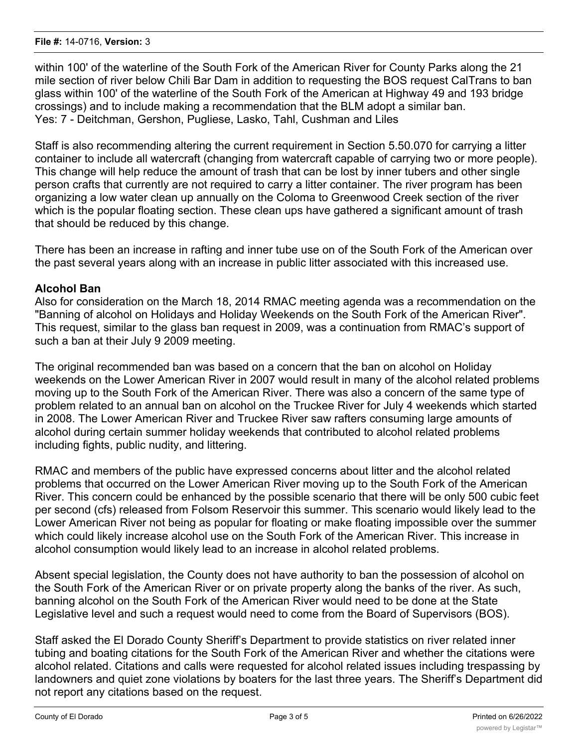within 100' of the waterline of the South Fork of the American River for County Parks along the 21 mile section of river below Chili Bar Dam in addition to requesting the BOS request CalTrans to ban glass within 100' of the waterline of the South Fork of the American at Highway 49 and 193 bridge crossings) and to include making a recommendation that the BLM adopt a similar ban. Yes: 7 - Deitchman, Gershon, Pugliese, Lasko, Tahl, Cushman and Liles

Staff is also recommending altering the current requirement in Section 5.50.070 for carrying a litter container to include all watercraft (changing from watercraft capable of carrying two or more people). This change will help reduce the amount of trash that can be lost by inner tubers and other single person crafts that currently are not required to carry a litter container. The river program has been organizing a low water clean up annually on the Coloma to Greenwood Creek section of the river which is the popular floating section. These clean ups have gathered a significant amount of trash that should be reduced by this change.

There has been an increase in rafting and inner tube use on of the South Fork of the American over the past several years along with an increase in public litter associated with this increased use.

## **Alcohol Ban**

Also for consideration on the March 18, 2014 RMAC meeting agenda was a recommendation on the "Banning of alcohol on Holidays and Holiday Weekends on the South Fork of the American River". This request, similar to the glass ban request in 2009, was a continuation from RMAC's support of such a ban at their July 9 2009 meeting.

The original recommended ban was based on a concern that the ban on alcohol on Holiday weekends on the Lower American River in 2007 would result in many of the alcohol related problems moving up to the South Fork of the American River. There was also a concern of the same type of problem related to an annual ban on alcohol on the Truckee River for July 4 weekends which started in 2008. The Lower American River and Truckee River saw rafters consuming large amounts of alcohol during certain summer holiday weekends that contributed to alcohol related problems including fights, public nudity, and littering.

RMAC and members of the public have expressed concerns about litter and the alcohol related problems that occurred on the Lower American River moving up to the South Fork of the American River. This concern could be enhanced by the possible scenario that there will be only 500 cubic feet per second (cfs) released from Folsom Reservoir this summer. This scenario would likely lead to the Lower American River not being as popular for floating or make floating impossible over the summer which could likely increase alcohol use on the South Fork of the American River. This increase in alcohol consumption would likely lead to an increase in alcohol related problems.

Absent special legislation, the County does not have authority to ban the possession of alcohol on the South Fork of the American River or on private property along the banks of the river. As such, banning alcohol on the South Fork of the American River would need to be done at the State Legislative level and such a request would need to come from the Board of Supervisors (BOS).

Staff asked the El Dorado County Sheriff's Department to provide statistics on river related inner tubing and boating citations for the South Fork of the American River and whether the citations were alcohol related. Citations and calls were requested for alcohol related issues including trespassing by landowners and quiet zone violations by boaters for the last three years. The Sheriff's Department did not report any citations based on the request.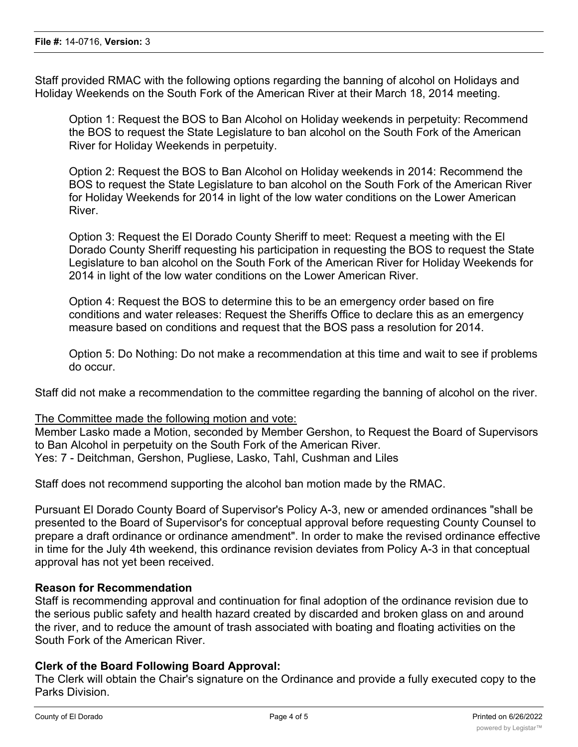Staff provided RMAC with the following options regarding the banning of alcohol on Holidays and Holiday Weekends on the South Fork of the American River at their March 18, 2014 meeting.

Option 1: Request the BOS to Ban Alcohol on Holiday weekends in perpetuity: Recommend the BOS to request the State Legislature to ban alcohol on the South Fork of the American River for Holiday Weekends in perpetuity.

Option 2: Request the BOS to Ban Alcohol on Holiday weekends in 2014: Recommend the BOS to request the State Legislature to ban alcohol on the South Fork of the American River for Holiday Weekends for 2014 in light of the low water conditions on the Lower American River.

Option 3: Request the El Dorado County Sheriff to meet: Request a meeting with the El Dorado County Sheriff requesting his participation in requesting the BOS to request the State Legislature to ban alcohol on the South Fork of the American River for Holiday Weekends for 2014 in light of the low water conditions on the Lower American River.

Option 4: Request the BOS to determine this to be an emergency order based on fire conditions and water releases: Request the Sheriffs Office to declare this as an emergency measure based on conditions and request that the BOS pass a resolution for 2014.

Option 5: Do Nothing: Do not make a recommendation at this time and wait to see if problems do occur.

Staff did not make a recommendation to the committee regarding the banning of alcohol on the river.

The Committee made the following motion and vote:

Member Lasko made a Motion, seconded by Member Gershon, to Request the Board of Supervisors to Ban Alcohol in perpetuity on the South Fork of the American River. Yes: 7 - Deitchman, Gershon, Pugliese, Lasko, Tahl, Cushman and Liles

Staff does not recommend supporting the alcohol ban motion made by the RMAC.

Pursuant El Dorado County Board of Supervisor's Policy A-3, new or amended ordinances "shall be presented to the Board of Supervisor's for conceptual approval before requesting County Counsel to prepare a draft ordinance or ordinance amendment". In order to make the revised ordinance effective in time for the July 4th weekend, this ordinance revision deviates from Policy A-3 in that conceptual approval has not yet been received.

#### **Reason for Recommendation**

Staff is recommending approval and continuation for final adoption of the ordinance revision due to the serious public safety and health hazard created by discarded and broken glass on and around the river, and to reduce the amount of trash associated with boating and floating activities on the South Fork of the American River.

#### **Clerk of the Board Following Board Approval:**

The Clerk will obtain the Chair's signature on the Ordinance and provide a fully executed copy to the Parks Division.